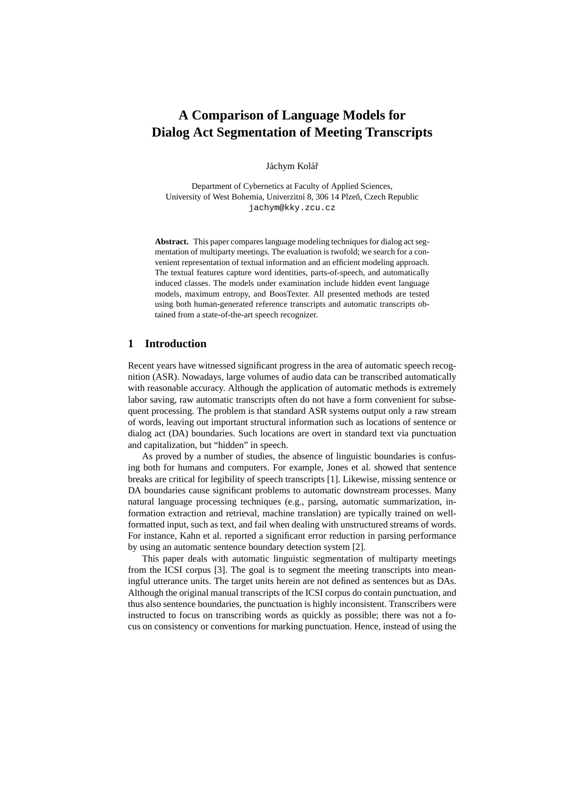# **A Comparison of Language Models for Dialog Act Segmentation of Meeting Transcripts**

Jáchym Kolář

Department of Cybernetics at Faculty of Applied Sciences, University of West Bohemia, Univerzitní 8, 306 14 Plzeň, Czech Republic jachym@kky.zcu.cz

**Abstract.** This paper compares language modeling techniques for dialog act segmentation of multiparty meetings. The evaluation is twofold; we search for a convenient representation of textual information and an efficient modeling approach. The textual features capture word identities, parts-of-speech, and automatically induced classes. The models under examination include hidden event language models, maximum entropy, and BoosTexter. All presented methods are tested using both human-generated reference transcripts and automatic transcripts obtained from a state-of-the-art speech recognizer.

# **1 Introduction**

Recent years have witnessed significant progress in the area of automatic speech recognition (ASR). Nowadays, large volumes of audio data can be transcribed automatically with reasonable accuracy. Although the application of automatic methods is extremely labor saving, raw automatic transcripts often do not have a form convenient for subsequent processing. The problem is that standard ASR systems output only a raw stream of words, leaving out important structural information such as locations of sentence or dialog act (DA) boundaries. Such locations are overt in standard text via punctuation and capitalization, but "hidden" in speech.

As proved by a number of studies, the absence of linguistic boundaries is confusing both for humans and computers. For example, Jones et al. showed that sentence breaks are critical for legibility of speech transcripts [1]. Likewise, missing sentence or DA boundaries cause significant problems to automatic downstream processes. Many natural language processing techniques (e.g., parsing, automatic summarization, information extraction and retrieval, machine translation) are typically trained on wellformatted input, such as text, and fail when dealing with unstructured streams of words. For instance, Kahn et al. reported a significant error reduction in parsing performance by using an automatic sentence boundary detection system [2].

This paper deals with automatic linguistic segmentation of multiparty meetings from the ICSI corpus [3]. The goal is to segment the meeting transcripts into meaningful utterance units. The target units herein are not defined as sentences but as DAs. Although the original manual transcripts of the ICSI corpus do contain punctuation, and thus also sentence boundaries, the punctuation is highly inconsistent. Transcribers were instructed to focus on transcribing words as quickly as possible; there was not a focus on consistency or conventions for marking punctuation. Hence, instead of using the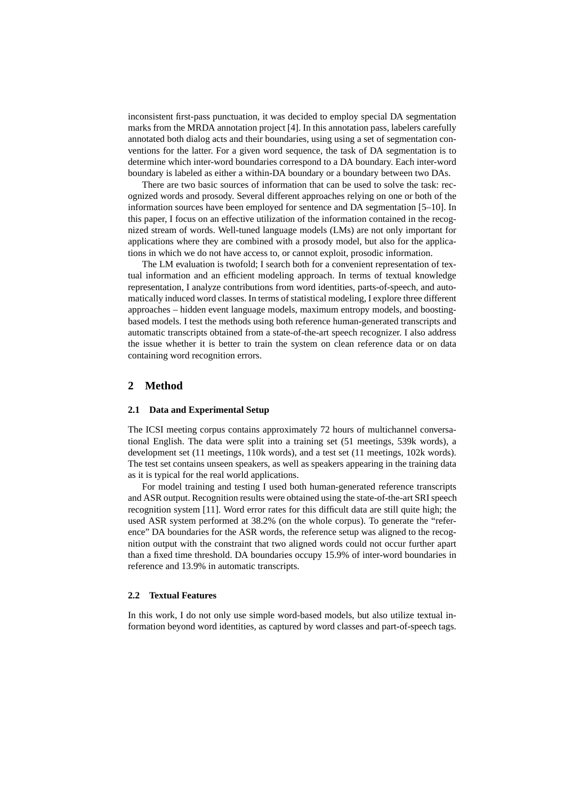inconsistent first-pass punctuation, it was decided to employ special DA segmentation marks from the MRDA annotation project [4]. In this annotation pass, labelers carefully annotated both dialog acts and their boundaries, using using a set of segmentation conventions for the latter. For a given word sequence, the task of DA segmentation is to determine which inter-word boundaries correspond to a DA boundary. Each inter-word boundary is labeled as either a within-DA boundary or a boundary between two DAs.

There are two basic sources of information that can be used to solve the task: recognized words and prosody. Several different approaches relying on one or both of the information sources have been employed for sentence and DA segmentation [5–10]. In this paper, I focus on an effective utilization of the information contained in the recognized stream of words. Well-tuned language models (LMs) are not only important for applications where they are combined with a prosody model, but also for the applications in which we do not have access to, or cannot exploit, prosodic information.

The LM evaluation is twofold; I search both for a convenient representation of textual information and an efficient modeling approach. In terms of textual knowledge representation, I analyze contributions from word identities, parts-of-speech, and automatically induced word classes. In terms of statistical modeling, I explore three different approaches – hidden event language models, maximum entropy models, and boostingbased models. I test the methods using both reference human-generated transcripts and automatic transcripts obtained from a state-of-the-art speech recognizer. I also address the issue whether it is better to train the system on clean reference data or on data containing word recognition errors.

## **2 Method**

#### **2.1 Data and Experimental Setup**

The ICSI meeting corpus contains approximately 72 hours of multichannel conversational English. The data were split into a training set (51 meetings, 539k words), a development set (11 meetings, 110k words), and a test set (11 meetings, 102k words). The test set contains unseen speakers, as well as speakers appearing in the training data as it is typical for the real world applications.

For model training and testing I used both human-generated reference transcripts and ASR output. Recognition results were obtained using the state-of-the-art SRI speech recognition system [11]. Word error rates for this difficult data are still quite high; the used ASR system performed at 38.2% (on the whole corpus). To generate the "reference" DA boundaries for the ASR words, the reference setup was aligned to the recognition output with the constraint that two aligned words could not occur further apart than a fixed time threshold. DA boundaries occupy 15.9% of inter-word boundaries in reference and 13.9% in automatic transcripts.

#### **2.2 Textual Features**

In this work, I do not only use simple word-based models, but also utilize textual information beyond word identities, as captured by word classes and part-of-speech tags.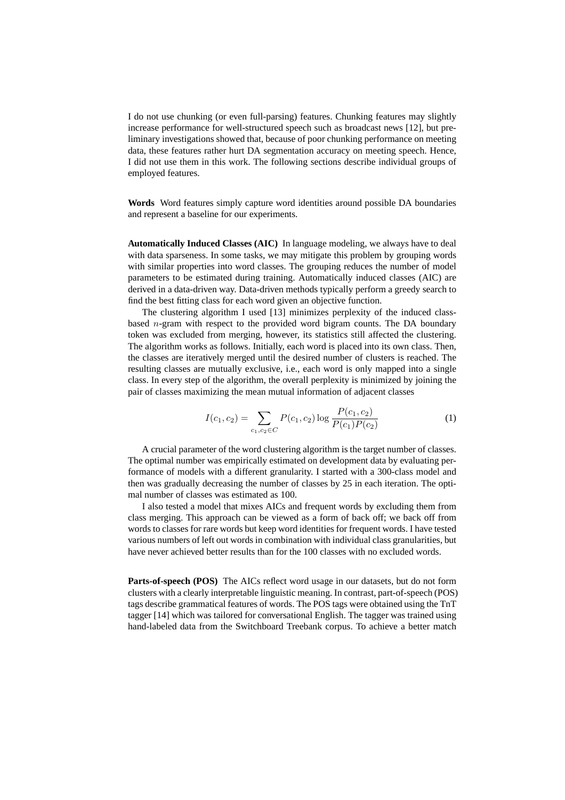I do not use chunking (or even full-parsing) features. Chunking features may slightly increase performance for well-structured speech such as broadcast news [12], but preliminary investigations showed that, because of poor chunking performance on meeting data, these features rather hurt DA segmentation accuracy on meeting speech. Hence, I did not use them in this work. The following sections describe individual groups of employed features.

**Words** Word features simply capture word identities around possible DA boundaries and represent a baseline for our experiments.

**Automatically Induced Classes (AIC)** In language modeling, we always have to deal with data sparseness. In some tasks, we may mitigate this problem by grouping words with similar properties into word classes. The grouping reduces the number of model parameters to be estimated during training. Automatically induced classes (AIC) are derived in a data-driven way. Data-driven methods typically perform a greedy search to find the best fitting class for each word given an objective function.

The clustering algorithm I used [13] minimizes perplexity of the induced classbased n-gram with respect to the provided word bigram counts. The DA boundary token was excluded from merging, however, its statistics still affected the clustering. The algorithm works as follows. Initially, each word is placed into its own class. Then, the classes are iteratively merged until the desired number of clusters is reached. The resulting classes are mutually exclusive, i.e., each word is only mapped into a single class. In every step of the algorithm, the overall perplexity is minimized by joining the pair of classes maximizing the mean mutual information of adjacent classes

$$
I(c_1, c_2) = \sum_{c_1, c_2 \in C} P(c_1, c_2) \log \frac{P(c_1, c_2)}{P(c_1)P(c_2)}
$$
(1)

A crucial parameter of the word clustering algorithm is the target number of classes. The optimal number was empirically estimated on development data by evaluating performance of models with a different granularity. I started with a 300-class model and then was gradually decreasing the number of classes by 25 in each iteration. The optimal number of classes was estimated as 100.

I also tested a model that mixes AICs and frequent words by excluding them from class merging. This approach can be viewed as a form of back off; we back off from words to classes for rare words but keep word identities for frequent words. I have tested various numbers of left out words in combination with individual class granularities, but have never achieved better results than for the 100 classes with no excluded words.

**Parts-of-speech (POS)** The AICs reflect word usage in our datasets, but do not form clusters with a clearly interpretable linguistic meaning. In contrast, part-of-speech (POS) tags describe grammatical features of words. The POS tags were obtained using the TnT tagger [14] which was tailored for conversational English. The tagger was trained using hand-labeled data from the Switchboard Treebank corpus. To achieve a better match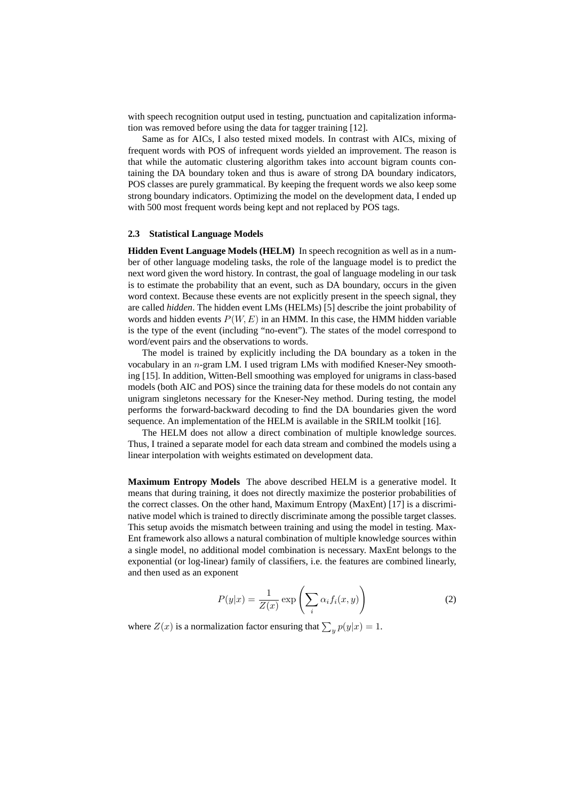with speech recognition output used in testing, punctuation and capitalization information was removed before using the data for tagger training [12].

Same as for AICs, I also tested mixed models. In contrast with AICs, mixing of frequent words with POS of infrequent words yielded an improvement. The reason is that while the automatic clustering algorithm takes into account bigram counts containing the DA boundary token and thus is aware of strong DA boundary indicators, POS classes are purely grammatical. By keeping the frequent words we also keep some strong boundary indicators. Optimizing the model on the development data, I ended up with 500 most frequent words being kept and not replaced by POS tags.

#### **2.3 Statistical Language Models**

**Hidden Event Language Models (HELM)** In speech recognition as well as in a number of other language modeling tasks, the role of the language model is to predict the next word given the word history. In contrast, the goal of language modeling in our task is to estimate the probability that an event, such as DA boundary, occurs in the given word context. Because these events are not explicitly present in the speech signal, they are called *hidden*. The hidden event LMs (HELMs) [5] describe the joint probability of words and hidden events  $P(W, E)$  in an HMM. In this case, the HMM hidden variable is the type of the event (including "no-event"). The states of the model correspond to word/event pairs and the observations to words.

The model is trained by explicitly including the DA boundary as a token in the vocabulary in an n-gram LM. I used trigram LMs with modified Kneser-Ney smoothing [15]. In addition, Witten-Bell smoothing was employed for unigrams in class-based models (both AIC and POS) since the training data for these models do not contain any unigram singletons necessary for the Kneser-Ney method. During testing, the model performs the forward-backward decoding to find the DA boundaries given the word sequence. An implementation of the HELM is available in the SRILM toolkit [16].

The HELM does not allow a direct combination of multiple knowledge sources. Thus, I trained a separate model for each data stream and combined the models using a linear interpolation with weights estimated on development data.

**Maximum Entropy Models** The above described HELM is a generative model. It means that during training, it does not directly maximize the posterior probabilities of the correct classes. On the other hand, Maximum Entropy (MaxEnt) [17] is a discriminative model which is trained to directly discriminate among the possible target classes. This setup avoids the mismatch between training and using the model in testing. Max-Ent framework also allows a natural combination of multiple knowledge sources within a single model, no additional model combination is necessary. MaxEnt belongs to the exponential (or log-linear) family of classifiers, i.e. the features are combined linearly, and then used as an exponent

$$
P(y|x) = \frac{1}{Z(x)} \exp\left(\sum_{i} \alpha_i f_i(x, y)\right)
$$
 (2)

where  $Z(x)$  is a normalization factor ensuring that  $\sum_{y} p(y|x) = 1$ .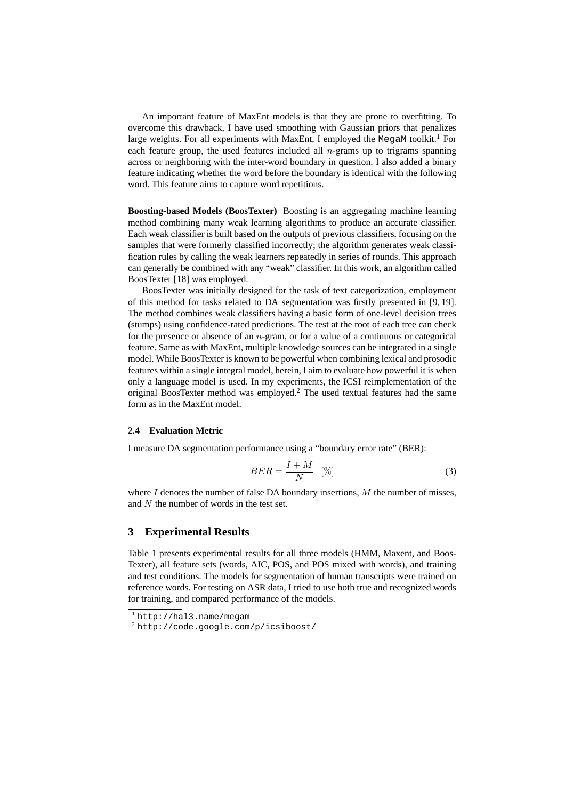An important feature of MaxEnt models is that they are prone to overfitting. To overcome this drawback, I have used smoothing with Gaussian priors that penalizes large weights. For all experiments with MaxEnt, I employed the MegaM toolkit.<sup>1</sup> For each feature group, the used features included all  $n$ -grams up to trigrams spanning across or neighboring with the inter-word boundary in question. I also added a binary feature indicating whether the word before the boundary is identical with the following word. This feature aims to capture word repetitions.

**Boosting-based Models (BoosTexter)** Boosting is an aggregating machine learning method combining many weak learning algorithms to produce an accurate classifier. Each weak classifier is built based on the outputs of previous classifiers, focusing on the samples that were formerly classified incorrectly; the algorithm generates weak classification rules by calling the weak learners repeatedly in series of rounds. This approach can generally be combined with any "weak" classifier. In this work, an algorithm called BoosTexter [18] was employed.

BoosTexter was initially designed for the task of text categorization, employment of this method for tasks related to DA segmentation was firstly presented in [9, 19]. The method combines weak classifiers having a basic form of one-level decision trees (stumps) using confidence-rated predictions. The test at the root of each tree can check for the presence or absence of an  $n$ -gram, or for a value of a continuous or categorical feature. Same as with MaxEnt, multiple knowledge sources can be integrated in a single model. While BoosTexter is known to be powerful when combining lexical and prosodic features within a single integral model, herein, I aim to evaluate how powerful it is when only a language model is used. In my experiments, the ICSI reimplementation of the original BoosTexter method was employed.<sup>2</sup> The used textual features had the same form as in the MaxEnt model.

## **2.4 Evaluation Metric**

I measure DA segmentation performance using a "boundary error rate" (BER):

$$
BER = \frac{I + M}{N} \quad [%]
$$
\n(3)

where  $I$  denotes the number of false DA boundary insertions,  $M$  the number of misses, and N the number of words in the test set.

## **3 Experimental Results**

Table 1 presents experimental results for all three models (HMM, Maxent, and Boos-Texter), all feature sets (words, AIC, POS, and POS mixed with words), and training and test conditions. The models for segmentation of human transcripts were trained on reference words. For testing on ASR data, I tried to use both true and recognized words for training, and compared performance of the models.

 $1$  http://hal3.name/megam

<sup>2</sup> http://code.google.com/p/icsiboost/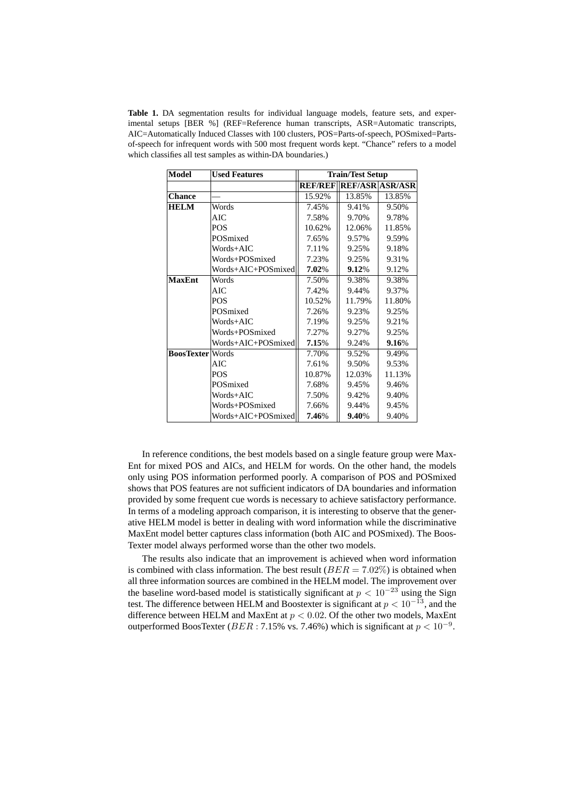**Table 1.** DA segmentation results for individual language models, feature sets, and experimental setups [BER %] (REF=Reference human transcripts, ASR=Automatic transcripts, AIC=Automatically Induced Classes with 100 clusters, POS=Parts-of-speech, POSmixed=Partsof-speech for infrequent words with 500 most frequent words kept. "Chance" refers to a model which classifies all test samples as within-DA boundaries.)

| Model                   | <b>Used Features</b> | <b>Train/Test Setup</b> |                        |        |
|-------------------------|----------------------|-------------------------|------------------------|--------|
|                         |                      | <b>REF/REF</b>          | <b>REF/ASR ASR/ASR</b> |        |
| <b>Chance</b>           |                      | 15.92%                  | 13.85%                 | 13.85% |
| <b>HELM</b>             | Words                | 7.45%                   | 9.41%                  | 9.50%  |
|                         | AIC                  | 7.58%                   | 9.70%                  | 9.78%  |
|                         | <b>POS</b>           | 10.62%                  | 12.06%                 | 11.85% |
|                         | POSmixed             | 7.65%                   | 9.57%                  | 9.59%  |
|                         | Words+AIC            | 7.11%                   | 9.25%                  | 9.18%  |
|                         | Words+POSmixed       | 7.23%                   | 9.25%                  | 9.31%  |
|                         | Words+AIC+POSmixed   | 7.02%                   | 9.12%                  | 9.12%  |
| <b>MaxEnt</b>           | Words                | 7.50%                   | 9.38%                  | 9.38%  |
|                         | AIC                  | 7.42%                   | 9.44%                  | 9.37%  |
|                         | <b>POS</b>           | 10.52%                  | 11.79%                 | 11.80% |
|                         | POSmixed             | 7.26%                   | 9.23%                  | 9.25%  |
|                         | Words+AIC            | 7.19%                   | 9.25%                  | 9.21%  |
|                         | Words+POSmixed       | 7.27%                   | 9.27%                  | 9.25%  |
|                         | Words+AIC+POSmixed   | 7.15%                   | 9.24%                  | 9.16%  |
| <b>BoosTexter Words</b> |                      | 7.70%                   | 9.52%                  | 9.49%  |
|                         | AIC                  | 7.61%                   | 9.50%                  | 9.53%  |
|                         | <b>POS</b>           | 10.87%                  | 12.03%                 | 11.13% |
|                         | POSmixed             | 7.68%                   | 9.45%                  | 9.46%  |
|                         | Words+AIC            | 7.50%                   | 9.42%                  | 9.40%  |
|                         | Words+POSmixed       | 7.66%                   | 9.44%                  | 9.45%  |
|                         | Words+AIC+POSmixed   | 7.46%                   | 9.40%                  | 9.40%  |

In reference conditions, the best models based on a single feature group were Max-Ent for mixed POS and AICs, and HELM for words. On the other hand, the models only using POS information performed poorly. A comparison of POS and POSmixed shows that POS features are not sufficient indicators of DA boundaries and information provided by some frequent cue words is necessary to achieve satisfactory performance. In terms of a modeling approach comparison, it is interesting to observe that the generative HELM model is better in dealing with word information while the discriminative MaxEnt model better captures class information (both AIC and POSmixed). The Boos-Texter model always performed worse than the other two models.

The results also indicate that an improvement is achieved when word information is combined with class information. The best result ( $BER = 7.02\%$ ) is obtained when all three information sources are combined in the HELM model. The improvement over the baseline word-based model is statistically significant at  $p < 10^{-23}$  using the Sign test. The difference between HELM and Boostexter is significant at  $p < 10^{-13}$ , and the difference between HELM and MaxEnt at  $p < 0.02$ . Of the other two models, MaxEnt outperformed BoosTexter ( $BER : 7.15\%$  vs. 7.46%) which is significant at  $p < 10^{-9}$ .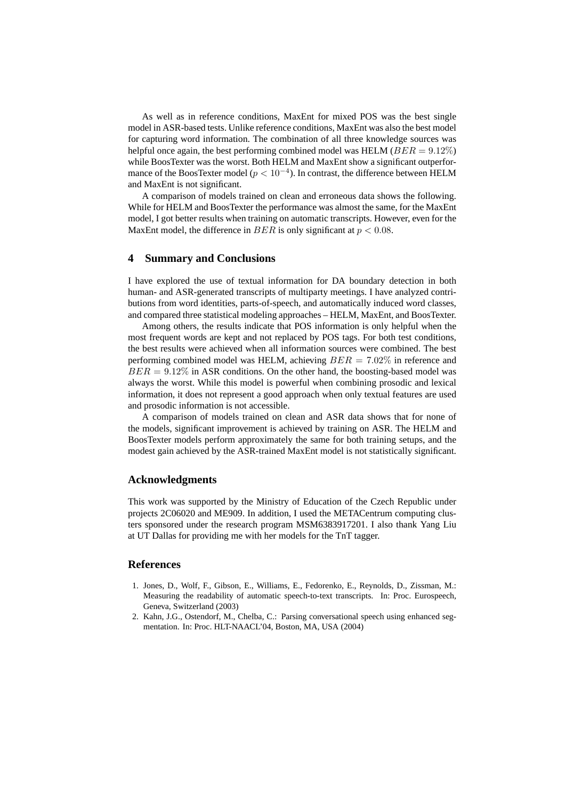As well as in reference conditions, MaxEnt for mixed POS was the best single model in ASR-based tests. Unlike reference conditions, MaxEnt was also the best model for capturing word information. The combination of all three knowledge sources was helpful once again, the best performing combined model was HELM ( $BER = 9.12\%$ ) while BoosTexter was the worst. Both HELM and MaxEnt show a significant outperformance of the BoosTexter model ( $p < 10^{-4}$ ). In contrast, the difference between HELM and MaxEnt is not significant.

A comparison of models trained on clean and erroneous data shows the following. While for HELM and BoosTexter the performance was almost the same, for the MaxEnt model, I got better results when training on automatic transcripts. However, even for the MaxEnt model, the difference in  $BER$  is only significant at  $p < 0.08$ .

# **4 Summary and Conclusions**

I have explored the use of textual information for DA boundary detection in both human- and ASR-generated transcripts of multiparty meetings. I have analyzed contributions from word identities, parts-of-speech, and automatically induced word classes, and compared three statistical modeling approaches – HELM, MaxEnt, and BoosTexter.

Among others, the results indicate that POS information is only helpful when the most frequent words are kept and not replaced by POS tags. For both test conditions, the best results were achieved when all information sources were combined. The best performing combined model was HELM, achieving  $BER = 7.02\%$  in reference and  $BER = 9.12\%$  in ASR conditions. On the other hand, the boosting-based model was always the worst. While this model is powerful when combining prosodic and lexical information, it does not represent a good approach when only textual features are used and prosodic information is not accessible.

A comparison of models trained on clean and ASR data shows that for none of the models, significant improvement is achieved by training on ASR. The HELM and BoosTexter models perform approximately the same for both training setups, and the modest gain achieved by the ASR-trained MaxEnt model is not statistically significant.

#### **Acknowledgments**

This work was supported by the Ministry of Education of the Czech Republic under projects 2C06020 and ME909. In addition, I used the METACentrum computing clusters sponsored under the research program MSM6383917201. I also thank Yang Liu at UT Dallas for providing me with her models for the TnT tagger.

# **References**

- 1. Jones, D., Wolf, F., Gibson, E., Williams, E., Fedorenko, E., Reynolds, D., Zissman, M.: Measuring the readability of automatic speech-to-text transcripts. In: Proc. Eurospeech, Geneva, Switzerland (2003)
- 2. Kahn, J.G., Ostendorf, M., Chelba, C.: Parsing conversational speech using enhanced segmentation. In: Proc. HLT-NAACL'04, Boston, MA, USA (2004)